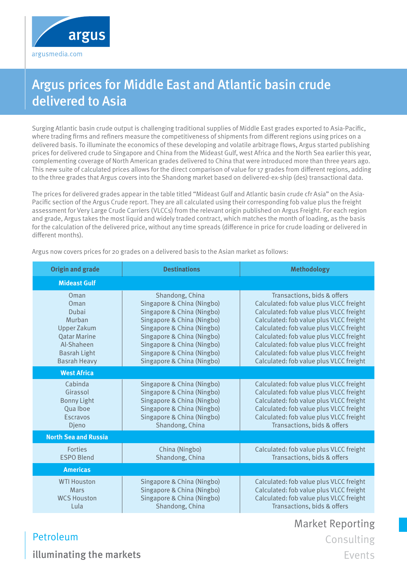

## Argus prices for Middle East and Atlantic basin crude delivered to Asia

Surging Atlantic basin crude output is challenging traditional supplies of Middle East grades exported to Asia-Pacific, where trading firms and refiners measure the competitiveness of shipments from different regions using prices on a delivered basis. To illuminate the economics of these developing and volatile arbitrage flows, Argus started publishing prices for delivered crude to Singapore and China from the Mideast Gulf, west Africa and the North Sea earlier this year, complementing coverage of North American grades delivered to China that were introduced more than three years ago. This new suite of calculated prices allows for the direct comparison of value for 17 grades from different regions, adding to the three grades that Argus covers into the Shandong market based on delivered-ex-ship (des) transactional data.

The prices for delivered grades appear in the table titled "Mideast Gulf and Atlantic basin crude cfr Asia" on the Asia-Pacific section of the Argus Crude report. They are all calculated using their corresponding fob value plus the freight assessment for Very Large Crude Carriers (VLCCs) from the relevant origin published on Argus Freight. For each region and grade, Argus takes the most liquid and widely traded contract, which matches the month of loading, as the basis for the calculation of the delivered price, without any time spreads (difference in price for crude loading or delivered in different months).

| <b>Origin and grade</b>                                                                                                                  | <b>Destinations</b>                                                                                                                                                                                                                                             | <b>Methodology</b>                                                                                                                                                                                                                                                                                                                                                                  |
|------------------------------------------------------------------------------------------------------------------------------------------|-----------------------------------------------------------------------------------------------------------------------------------------------------------------------------------------------------------------------------------------------------------------|-------------------------------------------------------------------------------------------------------------------------------------------------------------------------------------------------------------------------------------------------------------------------------------------------------------------------------------------------------------------------------------|
| <b>Mideast Gulf</b>                                                                                                                      |                                                                                                                                                                                                                                                                 |                                                                                                                                                                                                                                                                                                                                                                                     |
| Oman<br>Oman<br>Dubai<br>Murban<br><b>Upper Zakum</b><br><b>Qatar Marine</b><br>Al-Shaheen<br><b>Basrah Light</b><br><b>Basrah Heavy</b> | Shandong, China<br>Singapore & China (Ningbo)<br>Singapore & China (Ningbo)<br>Singapore & China (Ningbo)<br>Singapore & China (Ningbo)<br>Singapore & China (Ningbo)<br>Singapore & China (Ningbo)<br>Singapore & China (Ningbo)<br>Singapore & China (Ningbo) | Transactions, bids & offers<br>Calculated: fob value plus VLCC freight<br>Calculated: fob value plus VLCC freight<br>Calculated: fob value plus VLCC freight<br>Calculated: fob value plus VLCC freight<br>Calculated: fob value plus VLCC freight<br>Calculated: fob value plus VLCC freight<br>Calculated: fob value plus VLCC freight<br>Calculated: fob value plus VLCC freight |
| <b>West Africa</b>                                                                                                                       |                                                                                                                                                                                                                                                                 |                                                                                                                                                                                                                                                                                                                                                                                     |
| Cabinda<br>Girassol<br><b>Bonny Light</b><br>Qua Iboe<br>Escravos<br>Djeno                                                               | Singapore & China (Ningbo)<br>Singapore & China (Ningbo)<br>Singapore & China (Ningbo)<br>Singapore & China (Ningbo)<br>Singapore & China (Ningbo)<br>Shandong, China                                                                                           | Calculated: fob value plus VLCC freight<br>Calculated: fob value plus VLCC freight<br>Calculated: fob value plus VLCC freight<br>Calculated: fob value plus VLCC freight<br>Calculated: fob value plus VLCC freight<br>Transactions, bids & offers                                                                                                                                  |
| <b>North Sea and Russia</b>                                                                                                              |                                                                                                                                                                                                                                                                 |                                                                                                                                                                                                                                                                                                                                                                                     |
| <b>Forties</b><br><b>ESPO Blend</b>                                                                                                      | China (Ningbo)<br>Shandong, China                                                                                                                                                                                                                               | Calculated: fob value plus VLCC freight<br>Transactions, bids & offers                                                                                                                                                                                                                                                                                                              |
| <b>Americas</b>                                                                                                                          |                                                                                                                                                                                                                                                                 |                                                                                                                                                                                                                                                                                                                                                                                     |
| <b>WTI Houston</b><br>Mars<br><b>WCS Houston</b><br>Lula                                                                                 | Singapore & China (Ningbo)<br>Singapore & China (Ningbo)<br>Singapore & China (Ningbo)<br>Shandong, China                                                                                                                                                       | Calculated: fob value plus VLCC freight<br>Calculated: fob value plus VLCC freight<br>Calculated: fob value plus VLCC freight<br>Transactions, bids & offers                                                                                                                                                                                                                        |

Argus now covers prices for 20 grades on a delivered basis to the Asian market as follows:

Market Reporting Consulting

Events

illuminating the markets

Petroleum